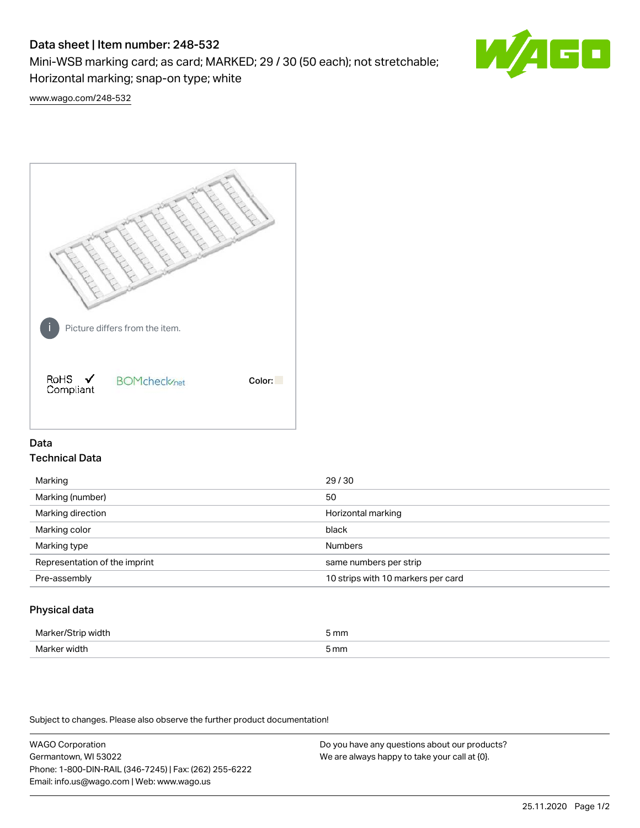# Data sheet | Item number: 248-532

Mini-WSB marking card; as card; MARKED; 29 / 30 (50 each); not stretchable; Horizontal marking; snap-on type; white



[www.wago.com/248-532](http://www.wago.com/248-532)



## Data Technical Data

| Marking                       | 29/30                              |
|-------------------------------|------------------------------------|
| Marking (number)              | 50                                 |
| Marking direction             | Horizontal marking                 |
| Marking color                 | black                              |
| Marking type                  | <b>Numbers</b>                     |
| Representation of the imprint | same numbers per strip             |
| Pre-assembly                  | 10 strips with 10 markers per card |
|                               |                                    |

## Physical data

| Marker<br><b>WINTI</b><br>י | 5 mm |
|-----------------------------|------|
| Marker width                | 5 mm |

Subject to changes. Please also observe the further product documentation!

WAGO Corporation Germantown, WI 53022 Phone: 1-800-DIN-RAIL (346-7245) | Fax: (262) 255-6222 Email: info.us@wago.com | Web: www.wago.us Do you have any questions about our products? We are always happy to take your call at {0}.